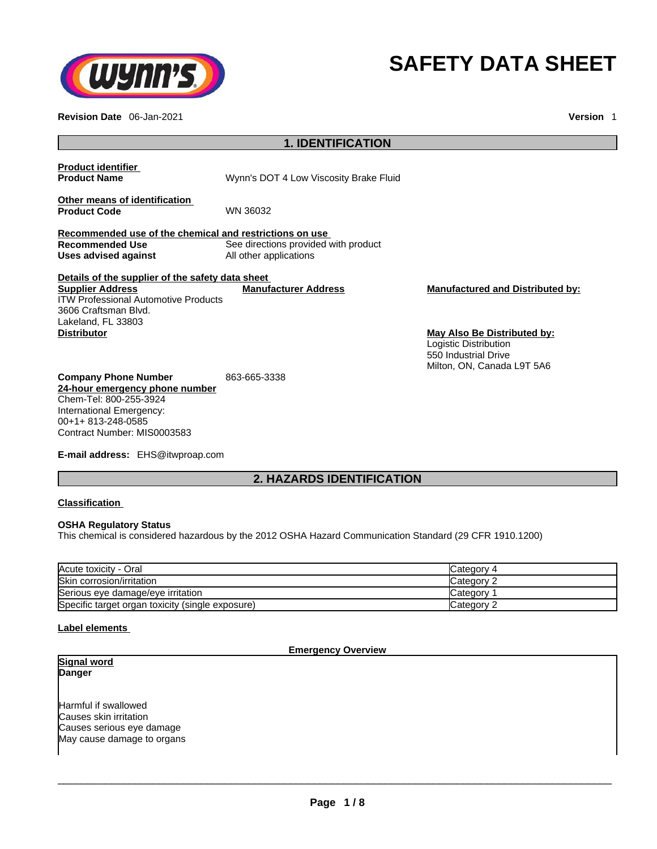

# **SAFETY DATA SHEET**

**Revision Date** 06-Jan-2021 **Version** 1

| <b>1. IDENTIFICATION</b>                                                                                                                                                |                                                                |                                                                                                                   |
|-------------------------------------------------------------------------------------------------------------------------------------------------------------------------|----------------------------------------------------------------|-------------------------------------------------------------------------------------------------------------------|
| <b>Product identifier</b><br><b>Product Name</b>                                                                                                                        | Wynn's DOT 4 Low Viscosity Brake Fluid                         |                                                                                                                   |
| Other means of identification<br><b>Product Code</b>                                                                                                                    | WN 36032                                                       |                                                                                                                   |
| Recommended use of the chemical and restrictions on use                                                                                                                 |                                                                |                                                                                                                   |
| <b>Recommended Use</b><br>Uses advised against                                                                                                                          | See directions provided with product<br>All other applications |                                                                                                                   |
| Details of the supplier of the safety data sheet                                                                                                                        |                                                                |                                                                                                                   |
| <b>Supplier Address</b><br><b>ITW Professional Automotive Products</b><br>3606 Craftsman Blvd.<br>Lakeland, FL 33803                                                    | <b>Manufacturer Address</b>                                    | <b>Manufactured and Distributed by:</b>                                                                           |
| <b>Distributor</b>                                                                                                                                                      |                                                                | <b>May Also Be Distributed by:</b><br>Logistic Distribution<br>550 Industrial Drive<br>Milton, ON, Canada L9T 5A6 |
| <b>Company Phone Number</b><br>24-hour emergency phone number<br>Chem-Tel: 800-255-3924<br>International Emergency:<br>00+1+813-248-0585<br>Contract Number: MIS0003583 | 863-665-3338                                                   |                                                                                                                   |

**E-mail address:** EHS@itwproap.com

# **2. HAZARDS IDENTIFICATION**

#### **Classification**

#### **OSHA Regulatory Status**

This chemical is considered hazardous by the 2012 OSHA Hazard Communication Standard (29 CFR 1910.1200)

| Acute toxicity - Oral                            | 4 Category |
|--------------------------------------------------|------------|
| Skin corrosion/irritation                        | Category 2 |
| Serious eye damage/eye irritation                | Category   |
| Specific target organ toxicity (single exposure) | Category 2 |

#### **Label elements**

#### **Emergency Overview**

**Signal word Danger** 

Harmful if swallowed Causes skin irritation Causes serious eye damage May cause damage to organs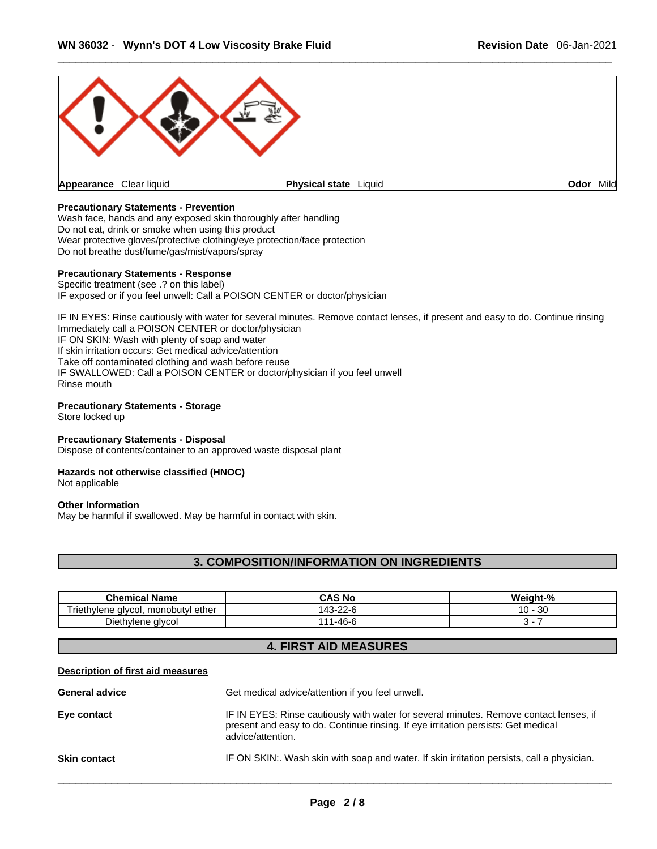

#### **Precautionary Statements - Prevention**

Wash face, hands and any exposed skin thoroughly after handling Do not eat, drink or smoke when using this product Wear protective gloves/protective clothing/eye protection/face protection Do not breathe dust/fume/gas/mist/vapors/spray

#### **Precautionary Statements - Response**

Specific treatment (see .? on this label) IF exposed or if you feel unwell: Call a POISON CENTER or doctor/physician

IF IN EYES: Rinse cautiously with water for several minutes. Remove contact lenses, if present and easy to do. Continue rinsing Immediately call a POISON CENTER or doctor/physician IF ON SKIN: Wash with plenty of soap and water If skin irritation occurs: Get medical advice/attention Take off contaminated clothing and wash before reuse IF SWALLOWED: Call a POISON CENTER or doctor/physician if you feel unwell Rinse mouth

#### **Precautionary Statements - Storage**

Store locked up

#### **Precautionary Statements - Disposal**

Dispose of contents/container to an approved waste disposal plant

#### **Hazards not otherwise classified (HNOC)**

Not applicable

#### **Other Information**

May be harmful if swallowed. May be harmful in contact with skin.

# **3. COMPOSITION/INFORMATION ON INGREDIENTS**

| <b>Chemical Name</b>                          | CAS No         | Weight-%     |
|-----------------------------------------------|----------------|--------------|
| monobutyl ether<br>alvcol.<br>hvlene<br>rieth | _z-r<br>. ≁-ت+ | 30<br>$10 -$ |
| Diethylene glycol                             | .-46-Բ         |              |

# **4. FIRST AID MEASURES**

#### **Description of first aid measures**

| <b>General advice</b> | Get medical advice/attention if you feel unwell.                                                                                                                                                 |
|-----------------------|--------------------------------------------------------------------------------------------------------------------------------------------------------------------------------------------------|
| Eye contact           | IF IN EYES: Rinse cautiously with water for several minutes. Remove contact lenses, if<br>present and easy to do. Continue rinsing. If eye irritation persists: Get medical<br>advice/attention. |
| <b>Skin contact</b>   | IF ON SKIN:. Wash skin with soap and water. If skin irritation persists, call a physician.                                                                                                       |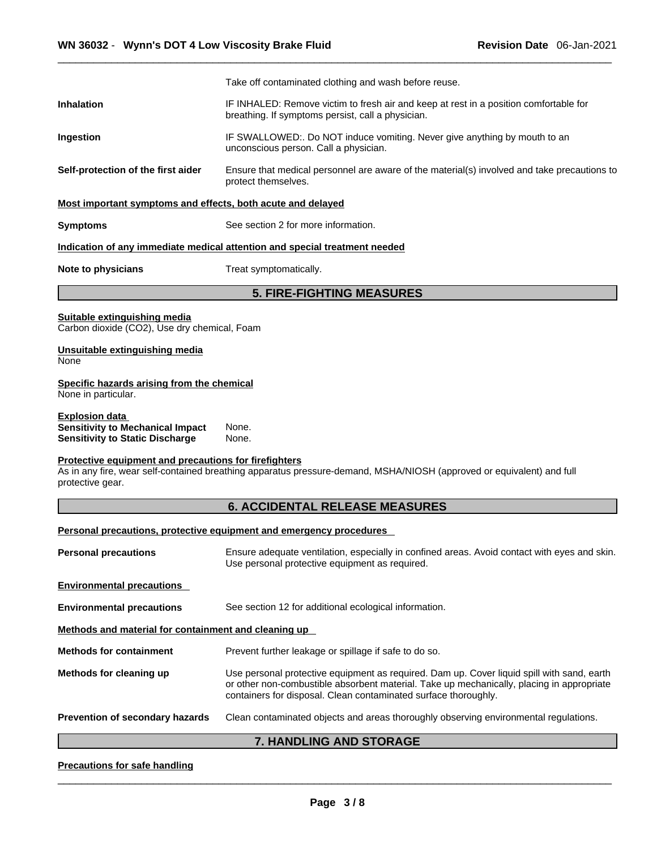|                                                                                                            | Take off contaminated clothing and wash before reuse.                                                                                                                                                                                                      |  |  |
|------------------------------------------------------------------------------------------------------------|------------------------------------------------------------------------------------------------------------------------------------------------------------------------------------------------------------------------------------------------------------|--|--|
| <b>Inhalation</b>                                                                                          | IF INHALED: Remove victim to fresh air and keep at rest in a position comfortable for<br>breathing. If symptoms persist, call a physician.                                                                                                                 |  |  |
| Ingestion                                                                                                  | IF SWALLOWED:. Do NOT induce vomiting. Never give anything by mouth to an<br>unconscious person. Call a physician.                                                                                                                                         |  |  |
| Self-protection of the first aider                                                                         | Ensure that medical personnel are aware of the material(s) involved and take precautions to<br>protect themselves.                                                                                                                                         |  |  |
| Most important symptoms and effects, both acute and delayed                                                |                                                                                                                                                                                                                                                            |  |  |
| <b>Symptoms</b>                                                                                            | See section 2 for more information.                                                                                                                                                                                                                        |  |  |
|                                                                                                            | Indication of any immediate medical attention and special treatment needed                                                                                                                                                                                 |  |  |
| Note to physicians                                                                                         | Treat symptomatically.                                                                                                                                                                                                                                     |  |  |
|                                                                                                            | <b>5. FIRE-FIGHTING MEASURES</b>                                                                                                                                                                                                                           |  |  |
| Suitable extinguishing media<br>Carbon dioxide (CO2), Use dry chemical, Foam                               |                                                                                                                                                                                                                                                            |  |  |
| Unsuitable extinguishing media<br>None                                                                     |                                                                                                                                                                                                                                                            |  |  |
| Specific hazards arising from the chemical<br>None in particular.                                          |                                                                                                                                                                                                                                                            |  |  |
| <b>Explosion data</b><br><b>Sensitivity to Mechanical Impact</b><br><b>Sensitivity to Static Discharge</b> | None.<br>None.                                                                                                                                                                                                                                             |  |  |
| Protective equipment and precautions for firefighters<br>protective gear.                                  | As in any fire, wear self-contained breathing apparatus pressure-demand, MSHA/NIOSH (approved or equivalent) and full                                                                                                                                      |  |  |
|                                                                                                            | <b>6. ACCIDENTAL RELEASE MEASURES</b>                                                                                                                                                                                                                      |  |  |
|                                                                                                            | Personal precautions, protective equipment and emergency procedures                                                                                                                                                                                        |  |  |
| <b>Personal precautions</b>                                                                                | Ensure adequate ventilation, especially in confined areas. Avoid contact with eyes and skin.<br>Use personal protective equipment as required.                                                                                                             |  |  |
| <b>Environmental precautions</b>                                                                           |                                                                                                                                                                                                                                                            |  |  |
| <b>Environmental precautions</b>                                                                           | See section 12 for additional ecological information.                                                                                                                                                                                                      |  |  |
| Methods and material for containment and cleaning up                                                       |                                                                                                                                                                                                                                                            |  |  |
| <b>Methods for containment</b>                                                                             | Prevent further leakage or spillage if safe to do so.                                                                                                                                                                                                      |  |  |
| Methods for cleaning up                                                                                    | Use personal protective equipment as required. Dam up. Cover liquid spill with sand, earth<br>or other non-combustible absorbent material. Take up mechanically, placing in appropriate<br>containers for disposal. Clean contaminated surface thoroughly. |  |  |
| Prevention of secondary hazards                                                                            | Clean contaminated objects and areas thoroughly observing environmental regulations.                                                                                                                                                                       |  |  |
|                                                                                                            |                                                                                                                                                                                                                                                            |  |  |

# **7. HANDLING AND STORAGE**

# **Precautions for safe handling**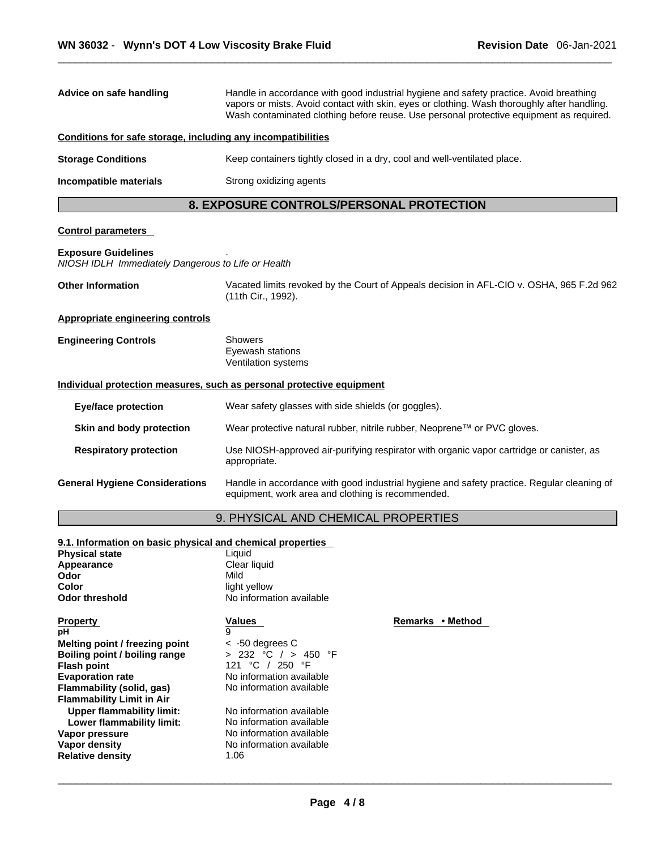| Advice on safe handling                                                          | Handle in accordance with good industrial hygiene and safety practice. Avoid breathing<br>vapors or mists. Avoid contact with skin, eyes or clothing. Wash thoroughly after handling.<br>Wash contaminated clothing before reuse. Use personal protective equipment as required. |                                                                                                                                                 |  |
|----------------------------------------------------------------------------------|----------------------------------------------------------------------------------------------------------------------------------------------------------------------------------------------------------------------------------------------------------------------------------|-------------------------------------------------------------------------------------------------------------------------------------------------|--|
| Conditions for safe storage, including any incompatibilities                     |                                                                                                                                                                                                                                                                                  |                                                                                                                                                 |  |
| <b>Storage Conditions</b>                                                        |                                                                                                                                                                                                                                                                                  | Keep containers tightly closed in a dry, cool and well-ventilated place.                                                                        |  |
| Incompatible materials                                                           | Strong oxidizing agents                                                                                                                                                                                                                                                          |                                                                                                                                                 |  |
|                                                                                  | 8. EXPOSURE CONTROLS/PERSONAL PROTECTION                                                                                                                                                                                                                                         |                                                                                                                                                 |  |
| <b>Control parameters</b>                                                        |                                                                                                                                                                                                                                                                                  |                                                                                                                                                 |  |
| <b>Exposure Guidelines</b><br>NIOSH IDLH Immediately Dangerous to Life or Health |                                                                                                                                                                                                                                                                                  |                                                                                                                                                 |  |
| <b>Other Information</b>                                                         | (11th Cir., 1992).                                                                                                                                                                                                                                                               | Vacated limits revoked by the Court of Appeals decision in AFL-CIO v. OSHA, 965 F.2d 962                                                        |  |
| <b>Appropriate engineering controls</b>                                          |                                                                                                                                                                                                                                                                                  |                                                                                                                                                 |  |
| <b>Engineering Controls</b>                                                      | Showers<br>Eyewash stations<br>Ventilation systems                                                                                                                                                                                                                               |                                                                                                                                                 |  |
| Individual protection measures, such as personal protective equipment            |                                                                                                                                                                                                                                                                                  |                                                                                                                                                 |  |
| <b>Eye/face protection</b>                                                       | Wear safety glasses with side shields (or goggles).                                                                                                                                                                                                                              |                                                                                                                                                 |  |
| Skin and body protection                                                         |                                                                                                                                                                                                                                                                                  | Wear protective natural rubber, nitrile rubber, Neoprene™ or PVC gloves.                                                                        |  |
| <b>Respiratory protection</b>                                                    | Use NIOSH-approved air-purifying respirator with organic vapor cartridge or canister, as<br>appropriate.                                                                                                                                                                         |                                                                                                                                                 |  |
| <b>General Hygiene Considerations</b>                                            |                                                                                                                                                                                                                                                                                  | Handle in accordance with good industrial hygiene and safety practice. Regular cleaning of<br>equipment, work area and clothing is recommended. |  |
|                                                                                  | 9. PHYSICAL AND CHEMICAL PROPERTIES                                                                                                                                                                                                                                              |                                                                                                                                                 |  |
| 9.1. Information on basic physical and chemical properties                       |                                                                                                                                                                                                                                                                                  |                                                                                                                                                 |  |
| <b>Physical state</b>                                                            | Liquid                                                                                                                                                                                                                                                                           |                                                                                                                                                 |  |
| Appearance                                                                       | Clear liquid                                                                                                                                                                                                                                                                     |                                                                                                                                                 |  |
| Odor                                                                             | Mild                                                                                                                                                                                                                                                                             |                                                                                                                                                 |  |
| Color                                                                            | light yellow                                                                                                                                                                                                                                                                     |                                                                                                                                                 |  |
| <b>Odor threshold</b>                                                            | No information available                                                                                                                                                                                                                                                         |                                                                                                                                                 |  |
| <b>Property</b><br>рH                                                            | Values<br>9                                                                                                                                                                                                                                                                      | Remarks • Method                                                                                                                                |  |
| Melting point / freezing point                                                   | $<$ -50 degrees C                                                                                                                                                                                                                                                                |                                                                                                                                                 |  |
| Boiling point / boiling range                                                    | > 232 °C / > 450 °F                                                                                                                                                                                                                                                              |                                                                                                                                                 |  |
| <b>Flash point</b>                                                               | 121 °C / 250 °F                                                                                                                                                                                                                                                                  |                                                                                                                                                 |  |
| <b>Evaporation rate</b>                                                          | No information available                                                                                                                                                                                                                                                         |                                                                                                                                                 |  |
| Flammability (solid, gas)<br><b>Flammability Limit in Air</b>                    | No information available                                                                                                                                                                                                                                                         |                                                                                                                                                 |  |
| <b>Upper flammability limit:</b>                                                 | No information available                                                                                                                                                                                                                                                         |                                                                                                                                                 |  |
| Lower flammability limit:                                                        | No information available                                                                                                                                                                                                                                                         |                                                                                                                                                 |  |
| Vapor pressure                                                                   | No information available                                                                                                                                                                                                                                                         |                                                                                                                                                 |  |
| Vapor density                                                                    | No information available                                                                                                                                                                                                                                                         |                                                                                                                                                 |  |
| <b>Relative density</b>                                                          | 1.06                                                                                                                                                                                                                                                                             |                                                                                                                                                 |  |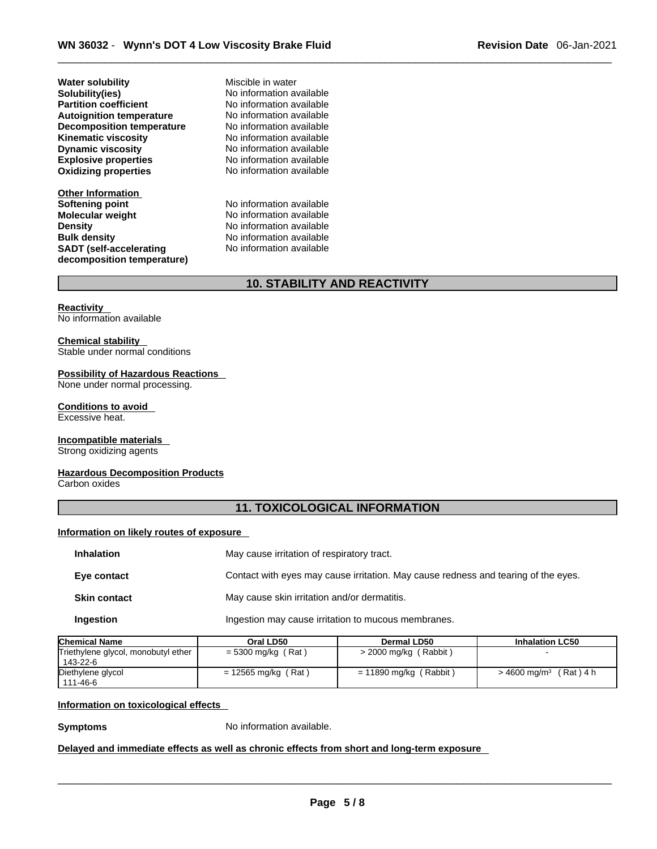**Explosive properties**<br> **Oxidizing properties**<br>
No information available **Oxidizing properties Water solubility** Miscible in water **Solubility(ies)** No information available **Partition coefficient** No information available **Autoignition temperature No information available**<br> **Decomposition temperature No information available Decomposition temperature** No information available<br>**Kinematic viscosity** No information available **Kinematic viscosity**<br>Dynamic viscosity

**Other Information Softening point** No information available **Molecular weight** No information available **Density Density Density No information available Bulk density No information available SADT (self-accelerating decomposition temperature)**

**Dynamic viscosity** No information available

**No information available** No information available

# **10. STABILITY AND REACTIVITY**

**Reactivity**  No information available

#### **Chemical stability**

Stable under normal conditions

#### **Possibility of Hazardous Reactions**

None under normal processing.

# **Conditions to avoid**

Excessive heat.

# **Incompatible materials**

Strong oxidizing agents

#### **Hazardous Decomposition Products**

Carbon oxides

# **11. TOXICOLOGICAL INFORMATION**

#### **Information on likely routes of exposure**

| <b>Inhalation</b>   | May cause irritation of respiratory tract.                                         |
|---------------------|------------------------------------------------------------------------------------|
| Eye contact         | Contact with eyes may cause irritation. May cause redness and tearing of the eyes. |
| <b>Skin contact</b> | May cause skin irritation and/or dermatitis.                                       |
| Ingestion           | Ingestion may cause irritation to mucous membranes.                                |

| <b>Chemical Name</b>                              | Oral LD50             | Dermal LD50              | <b>Inhalation LC50</b>                |
|---------------------------------------------------|-----------------------|--------------------------|---------------------------------------|
| Triethylene glycol, monobutyl ether<br>  143-22-6 | $= 5300$ mg/kg (Rat)  | $>$ 2000 mg/kg (Rabbit)  |                                       |
| Diethylene glycol<br>  111-46-6                   | $= 12565$ mg/kg (Rat) | $= 11890$ mg/kg (Rabbit) | (Rat)4h<br>$>$ 4600 mg/m <sup>3</sup> |

#### **Information on toxicological effects**

**Symptoms** No information available.

#### **Delayed and immediate effects as well as chronic effects from short and long-term exposure**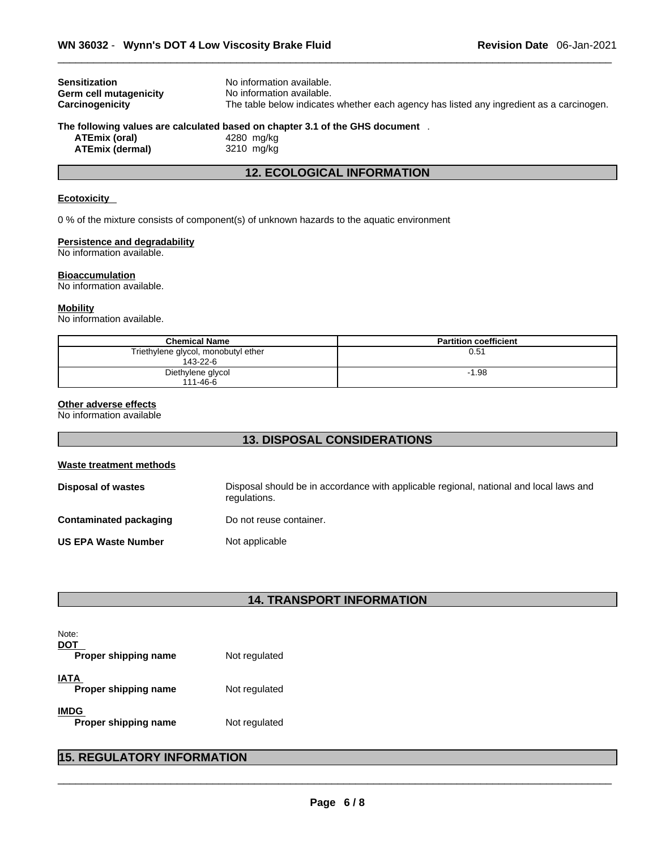| <b>Sensitization</b>   | No information available.                                                                |  |
|------------------------|------------------------------------------------------------------------------------------|--|
| Germ cell mutagenicity | No information available.                                                                |  |
| Carcinogenicity        | The table below indicates whether each agency has listed any ingredient as a carcinogen. |  |
|                        | The following values are calculated based on chapter 3.1 of the GHS document .           |  |
| ATEmix (oral)          | 4280 mg/kg                                                                               |  |
|                        | $- - - - -$                                                                              |  |

**ATEmix (dermal)**3210 mg/kg

# **12. ECOLOGICAL INFORMATION**

#### **Ecotoxicity**

0 % of the mixture consists of component(s) of unknown hazards to the aquatic environment

#### **Persistence and degradability**

No information available.

#### **Bioaccumulation**

No information available.

#### **Mobility**

No information available.

| <b>Chemical Name</b>                            | <b>Partition coefficient</b> |
|-------------------------------------------------|------------------------------|
| Triethylene glycol, monobutyl ether<br>143-22-6 | 0.51                         |
| Diethylene glycol<br>111-46-6                   | $-1.98$                      |

#### **Other adverse effects**

No information available

# **13. DISPOSAL CONSIDERATIONS**

| <b>Waste treatment methods</b> |                                                                                                        |
|--------------------------------|--------------------------------------------------------------------------------------------------------|
| <b>Disposal of wastes</b>      | Disposal should be in accordance with applicable regional, national and local laws and<br>regulations. |
| Contaminated packaging         | Do not reuse container.                                                                                |
| <b>US EPA Waste Number</b>     | Not applicable                                                                                         |

# **14. TRANSPORT INFORMATION**

| Note:<br>DOT                 |               |  |
|------------------------------|---------------|--|
| Proper shipping name         | Not regulated |  |
| IATA<br>Proper shipping name | Not regulated |  |
| IMDG<br>Proper shipping name | Not regulated |  |

# **15. REGULATORY INFORMATION**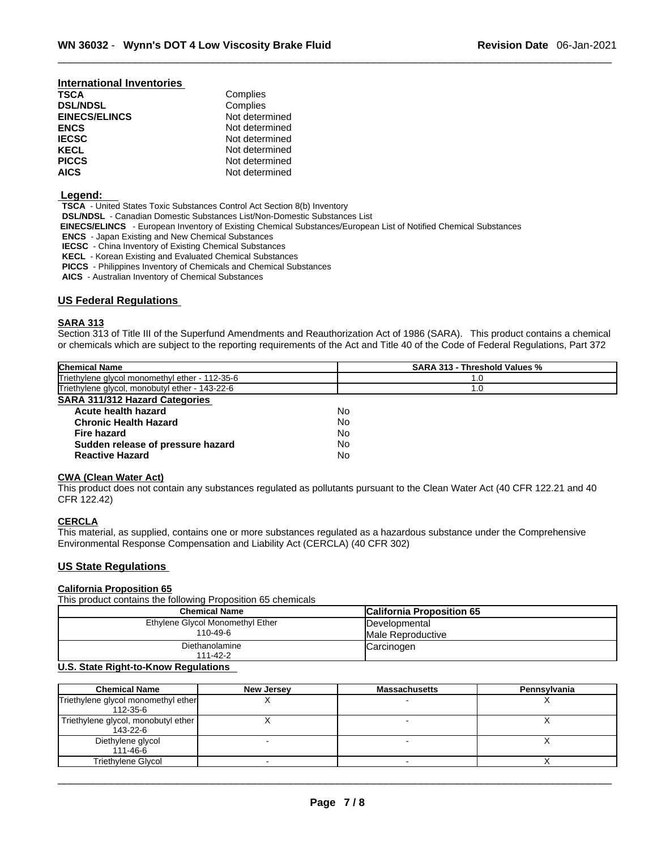# **International Inventories**

| <b>DSL/NDSL</b>      | Complies       |
|----------------------|----------------|
| <b>EINECS/ELINCS</b> | Not determined |
| ENCS                 | Not determined |
| <b>IECSC</b>         | Not determined |
| KECL                 | Not determined |
| <b>PICCS</b>         | Not determined |
| AICS                 | Not determined |

#### **Legend:**

**TSCA** - United States Toxic Substances Control Act Section 8(b) Inventory

**DSL/NDSL** - Canadian Domestic Substances List/Non-Domestic Substances List

Complies

- **EINECS/ELINCS**  European Inventory of Existing Chemical Substances/European List of Notified Chemical Substances
- **ENCS** Japan Existing and New Chemical Substances
- **IECSC** China Inventory of Existing Chemical Substances
- **KECL** Korean Existing and Evaluated Chemical Substances
- **PICCS** Philippines Inventory of Chemicals and Chemical Substances
- **AICS** Australian Inventory of Chemical Substances

#### **US Federal Regulations**

#### **SARA 313**

Section 313 of Title III of the Superfund Amendments and Reauthorization Act of 1986 (SARA). This product contains a chemical or chemicals which are subject to the reporting requirements of the Act and Title 40 of the Code of Federal Regulations, Part 372

| <b>Chemical Name</b>                           | <b>SARA 313 - Threshold Values %</b> |
|------------------------------------------------|--------------------------------------|
| Triethylene glycol monomethyl ether - 112-35-6 | 1.0                                  |
| Triethylene glycol, monobutyl ether - 143-22-6 | 1.0                                  |
| <b>SARA 311/312 Hazard Categories</b>          |                                      |
| Acute health hazard                            | No                                   |
| <b>Chronic Health Hazard</b>                   | No                                   |
| Fire hazard                                    | No                                   |
| Sudden release of pressure hazard              | No                                   |
| <b>Reactive Hazard</b>                         | No                                   |

#### **CWA (Clean WaterAct)**

This product does not contain any substances regulated as pollutants pursuant to the Clean Water Act (40 CFR 122.21 and 40 CFR 122.42)

#### **CERCLA**

This material, as supplied, contains one or more substances regulated as a hazardous substance under the Comprehensive Environmental Response Compensation and Liability Act (CERCLA) (40 CFR 302)

#### **US State Regulations**

# **California Proposition 65**

This product contains the following Proposition 65 chemicals

| <b>Chemical Name</b>             | <b>California Proposition 65</b> |
|----------------------------------|----------------------------------|
| Ethylene Glycol Monomethyl Ether | Developmental                    |
| 110-49-6                         | Male Reproductive                |
| Diethanolamine                   | Carcinogen                       |
| 111-42-2                         |                                  |

#### **U.S. State Right-to-Know Regulations**

| <b>Chemical Name</b>                            | New Jersey | <b>Massachusetts</b> | Pennsylvania |
|-------------------------------------------------|------------|----------------------|--------------|
| Triethylene glycol monomethyl ether<br>112-35-6 |            |                      |              |
| Triethylene glycol, monobutyl ether<br>143-22-6 |            |                      |              |
| Diethylene glycol<br>111-46-6                   |            |                      |              |
| <b>Triethylene Glycol</b>                       |            |                      |              |